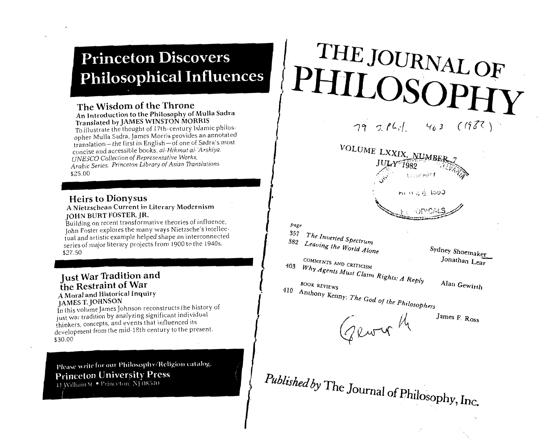# **Princeton Discovers Philosophical Influences**

### **The Wisdom of the Throne An Introduction to the Philosophy of Mulla Sadra Translated by JAMES WINSTON MORRIS**

To illustrate the thought of 17th-century Islamic philosopher Mulla Sadra, James Morris provides an annotated translation-the first in English-of one of Sadra's most concise and accessible books, al-Hikmat al-'Arshiva. *UNE* jCO *Colleciion of Representolive Works,*  **An Introduction to the Philosophy of Mulla Sadra**<br>**Translated by JAMES WINSTON MORRIS**<br>To illustrate the thought of 17th-century Islamic philos-<br>opher Mulla Sadra, James Morris provides an annotated<br>ranslation—the first i

### **Heirs to Dionysus A Nietzschean Current in Literary Modernism**  John Burton, JR. **John Burton, JR. 2006**

JOHN BURT FOSTER, JR.<br>Building on recent transformative theories of influence. John Foster explores the many ways Nietzsche's intellectual and artistic example helped shape an interconnected of affisiic example neipeu shape an interconnecteur. eries of<br>... ...

## **Just War Tradition and the Restraint of War A Moral and Historical Inquiry JAMES T. JOHNSON**

In this volume James Johnson reconstructs the history of just war tradition by analyzing significant individual thinkers, concepts, and events that influenced its  $h$ inkers, concepts, and events that influenced its evelopr<br>\*\*

Please write for our Philosophy/Religion catalog. **Princeton University Press** 44 William St. • Princeton, NJ 08540

# THE JOURNAL OF

 $(1988)$  $79761$  $463$ 



403

- $\begin{bmatrix}\npage \\
357\n\end{bmatrix}$ 
	- Sydney Shoemaker Jonathan Lear COMMENTS AND CRITICISM
	- Why Agents Must Claim Rights: A Reply BOOK REVIEWS

Alan Gewirth

410 Anthony Kenny: The God of the Philosophers

Gewy th

James F. Ross

Published by The Journal of Philosophy, Inc.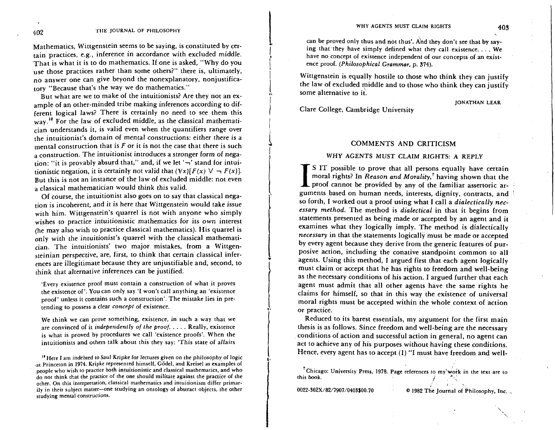Mathematics, Wittgenstein seems to be saying, is constituted by certain practices, e.g., inference in accordance with excluded middle. That is what it is to do mathematics. If one is asked, "Why do you use those practices rather than some others?" there is, ultimately, no answer one can give beyond the nonexplanatory, nonjustificatory "Because that's the way we do mathematics."

But what are we to make of the intuitionists? Are they not an example of an other-minded tribe making inferences according to different logical laws? There is certainly no need to see them this  $_{\text{way}}$ .<sup>18</sup> For the law of excluded middle, as the classical mathematician understands it, is valid even when the quantifiers range over the intuitionist's domain of mental constructions: either there is a mental construction that is  $F$  or it is not the case that there is such a construction. The intuitionist introduces a stronger form of negation: "it is provably absurd that," and, if we let  $\overline{7}$  stand for intuitionistic negation, it is certainly not valid that  $(\forall x)[F(x) \lor \neg F(x)]$ . But this is not an instance of the law of excluded middle: not even a classical mathematician would think this valid.

Of course, the intuitionist also goes on to say that classical negation is incoherent, and it is here that Wittgenstein would take issue with him. Wittgenstein's quarrel is not with anyone who simply wishes to practice intuitionistic mathematics for its own interest (he may also wish to practice classical mathematics). His quarrel is only with the intuitionist's quarrel with the classical mathematician. The intuitionists' two major mistakes, from a Wittgensteinian perspective, are, first, to think that certain classical inferences are illegitimate because they are unjustifiable and, second, to think that alternative inferences can be justified.

'Every existence proof must contain a construction of what it proves the existence of'. You can only say 'I won't call anything an 'existence proof' unless it contains such a construction'. The mistake lies in pretending to possess a clear concepl of existence.

We think we can prove something, existence, in such a way that we are convinced of it independently of the proof. . . . . Really, existence is what is proved by procedures we call 'existence proofs'. When the intuitionists and others talk about this they say: 'This state of affairs

<sup>18</sup> Here I am indebted to Saul Kripke for lectures given on the philosophy of logic .at Princeton in 1974. Kripke represented himself, Godel, and Kreisel as examples of people who wish to practice both intuitionistic and classical mathematics, and who do not think that the practice of the one should militate against the practice of the other. On this interpretation, classical mathematics and intuitionism differ primarily in their subject matter-one studying an ontology of abstract objects, the other studying mental constructions.

can be proved only thus and not thus'. And they don't see that by saying that they have simply defined what they call existence.... We have no concept of existence independent of our concepts of an existence proof. (Philosophical Grammar, p. 374).

Wittgenstein is equally hostile to those who think they can justify the law of excluded middle and to those who think they can justify some alternative to it.

Clare College, Cambridge University

**JONATHAN LEAR** 

### COMMENTS AND CRITICISM

### WHY AGENTS MUST CLAIM RIGHTS: A REPLY

I S IT possible to prove that all persons equally have certain<br>moral rights? In *Reason and Morality*,<sup>†</sup> having shown that the<br>proof cannot be provided by any of the familiar assertoric ar-<br>guments based on human needs, i moral rights? In *Reason and Morality*,<sup>†</sup> having shown that the **L** proof cannot be provided by any of the familiar assertoric arguments based on human needs, interests, dignity, contracts, and ' so forth, I worked out a proof using what I call a *dialectically necessary method.* The method is *dialectical* in that it begins from statements presented as being made or accepted by an agent and it examines what they logically imply. The method is dialectically *necessary* in that the statements logically must be made or accepted by every agent because they derive from the generic features of purposive action, including the conative standpoint common to all agents. Using this method, I argued first that each agent logically must claim or accept that he has rights to freedom and well-being as the necessary conditions of his action. I argued further that each agent must admit that all other agents have the same rights he claims for himself, so that in this way the existence of universal moral rights must be accepted within the whole context of action or practice.

Reduced to its barest essentials, my argument for the first main thesis is as follows. Since freedom and well-being are the necessary conditions of action and successful action in general, no agent can act to achieve any of his purposes without having these conditions. Hence, every agent has to accept (1) "I must have freedom and well-

**I 1** '. **0022-362X/82/7907/0403\$00.70 O** 1982 The Journal of Philosophy, Inc. .

<sup>&</sup>lt;sup>1</sup> Chicago: University Press, 1978. Page references to my work in the text are to this book.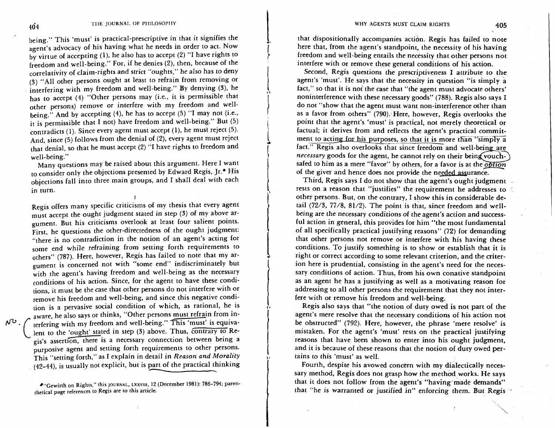being." This 'must' is practical-prescriptive in that it signifies the agent's advocacy of his having what he needs in order to act. Now by virtue of accepting (I), he also has to accept (2) "I have rights to freedom and well-being." For, if he denies (2), then, because of the correlativity of claim-rights and strict "oughts," he also has to deny (3) "All other persons ought at least to refrain from removing or interfering with my freedom and well-being." By denying (3), he has to accept (4) "Other persons may (i.e., it is permissible that other persons) remove or interfere with my freedom and wellbeing." And by accepting (4), he has to accept (5) "I may not (i.e., it is permissible that **I** not) have freedom and well-being." But (5) contradicts (1). Since every agent must accept (1), he must reject (5). And, since (5) follows from the denial of (2), every agent must reject that denial, so that he must accept (2) "I have rights to freedom and well-being."

Many questions may be raised about this argument. Here I want to consider only the objections presented by Edward Regis, Jr.+ His objections fall into three main groups, and I shall deal with each in turn.

Regis offers many specific criticisms of my thesis that every agent must accept the ought judgment stated in step (3) of my above argument. But his criticisms overlook at least four salient points. First, he questions the other-directedness of the ought judgment: "there is no contradiction in the notion of an agent's acting for some end while refraining from setting forth requirements to others" (787). Here, however, Regis has failed to note that my argument is concerned not with "some end" indiscriminately but with the agent's having freedom and well-being as the necessary conditions of his action. Since, for the agent to have these conditions, it must be the case that other persons do not interfere with or remove his freedom and well-being, and since this negative condition is a pervasive social condition of which, as rational, he is aware, he also says or thinks, "Other persons must refrain from interfering with my freedom and well-being." This 'must' is equiva- $\mathcal{W}^{\mathbf{U}}$ . ( terfering with my freedom and well-being." This 'must' is equiva-<br>lent to the 'ought' stated in step (3) above. Thus, Contrary to Regis's assertion, there is a necessary connection between being a purposive agent and setting forth requirements to other persons. This "setting forth," as I explain in detail in *Reason and Morality*   $(42-44)$ , is usually not explicit, but is part of the practical thinking

> **"Gewirth on Rights," this JOURNAL, LXXVIII, 12 (December 1981): 786-794; parenthetical page references to Regis are to this article.**

that dispositionally accompanies actidn. Regis has failed to note here that, from the agent's standpoint, the necessity of his having freedom and well-being entails the necessity that other persons not interfere with or remove these general conditions of his action.

Second, Regis questions the prescriptiveness I attribute to the agent's 'must'. He says that the necessity in question "is simply a fact," so that it is not the case that "the agent must advocate others' noninterference with these necessary goods" (788). Regis also says I do not "show that the agent must want non-interference other than as a favor from others" (790). Here, however, Regis overlooks the point that the agent's 'must' is practical, not merely theoretical or factual; it derives from and reflects the agent's practical commitment to acting for his purposes, so that it is more than "simply a act." Regis also overlooks that since freedom and well-being are *necessary* goods for the agent, he cannot rely on their being vouch-<br>safed to him as a mere "favor" by others, for a favor is at the *obtion* factual; it derives from and reflects the agent's practical commit-<br>ment to acting for his purposes, so that it is more than "simply a<br>fact." Regis also overlooks that since freedom and well-being are<br>*necessary* goods for of the giver and hence does not provide the needed assurance.

Third, Regis says I do not show that the agent's ought judgment rests on a reason that "justifies" the requirement he addresses to other persons. But, on the contrary, I show this in considerable detail  $(72/3, 77/8, 81/2)$ . The point is that, since freedom and wellbeing are the necessary conditions of the agent's action and successful action in general, this provides for him "the most fundamental of all specifically practical justifying reasons" (72) for demanding that other persons not remove or interfere with his having these conditions. To justify something is to show or establish that it is right or correct according to some relevant criterion, and the criterion here is prudential, consisting in the agent's need for the necessary conditions of action. Thus, from his own conative standpoint as an agent he has a justifying as well as a motivating reason for addressing to all other persons the requirement that they not interfere with or remove his freedom and well-being.

Regis also says that "the notion of duty owed is not part of the agent's mere resolve that the necessary conditions of his action not be obstructed" (792). Here, however, the phrase 'mere resolve' is mistaken. For the agent's 'must' rests on the practical justifying reasons that have been shown to enter into his ought judgment, and it is because of these reasons that the notion of duty owed pertains to this 'must' as well.

Fourth, despite his avowed concern with my dialectically necessary method, Regis does not grasp how the method works. He says that it does not follow from the agent's "having made demands" that "he is warranted or justified in" enforcing them. But Regis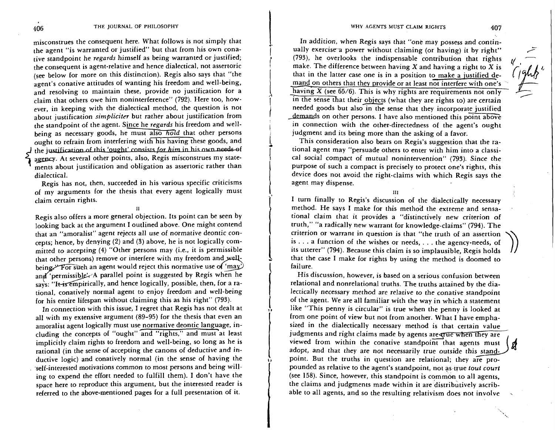misconstrues the consequent here. What follows is not simply that the agent "is warranted or justified" but that from his own conative standpoint he *regards* himself as being warranted or justified; the consequent is agent-relative and hence dialectical, not assertoric (see below for more on this distinction). Regis also says that "the agent's conative attitudes of wanting his freedom and well-being, and resolving to maintain these, provide no justification for a claim that others owe him noninterference" (792). Here too, however, in keeping with the dialectical method, the question is not about justification *simpliciter* but rather about justification from the standpoint of the agent. Since he *regards* his freedom and wellbeing as necessary goods, he must also *hold* that other persons ought to refrain from interfering with his having these goods, and the justification of this 'ought' consists for him in his own needs of ought to refram from interfering with its flaving thest goods, and<br>
the justification of this 'ought' consists for him in his own needs of<br>
agency. At several other points, also, Regis misconstrues my state-<br>
rents about i ments about justification and obligation as assertoric rather than dialectical.

Regis has not, then, succeeded in his various specific criticisms of my arguments for the thesis that every agent logically must claim certain rights.

Regis also offers a more general objection. Its point can be seen by looking back at the argument I outlined above. One might contend that an "amoralist" agent rejects all use of normative deontic concepts; hence, by denying (2) and (3) above, he is not logically committed to accepting (4) "Other persons may (i.e., it is permissible that other persons) remove or interfere with my freedom and well-Regis also offers a more general objection. Its point can be seen b<br>looking back at the argument I outlined above. One might conten<br>that an "amoralist" agent rejects all use of normative deontic cor<br>cepts; hence, by denyi being.<sup>3</sup> For such an agent would reject this normative use of 'may.<br>and 'permissible'. A parallel point is suggested by Regis when he says: "It is empirically, and hence logically, possible, then, for a rational, conatively normal agent to enjoy freedom and well-being for his entire lifespan without claiming this as his right" (793).

In connection with this issue, I regret that Regis has not dealt at all with my extensive argument (89-95) for the thesis that even an amoralist agent logically must use normative deontic language, including the concepts of "ought" and "rights," and must at least implicitly claim rights to freedom and well-being, so long as he is rational (in the sense of accepting the canons of deductive and inductive logic) and conatively normal (in the sense of having the .self-interested motivations common to most persons and being willing to expend the effort needed to fulfill them). I don't have the space here to reproduce this argument, but the interested reader is referred to the above-mentioned pages for a full presentation of it.

In addition, when Regis says that "one may possess and continually exercise a power without claiming (or having) it by right"<br>
(793), he overlooks the indispensable contribution that rights<br>
make. The difference between having X and having a right to X is<br>
that in the latter case o (793), he overlooks the indispensable contribution that rights make. The difference between having  $X$  and having a right to  $X$  is that in the latter case one is in a position to make a justified demand on others that they provide or at least not interfere with one's ' having  $\overline{X}$  (see 65/6). This is why rights are requirements not only in the sense that their objects (what they are rights to) are certain needed goods but also in the sense that they incorporate justified demands on other persons. I have also mentioned this point above in connection with the other-directedness of the agent's ought judgment and its being more than the asking of a favor.

This consideration also bears on Regis's suggestion that the rational agent may "persuade others to enter with him into a classical social compact of mutual nonintervention" (793). Since the purpose of such a compact is precisely to protect one's rights, this device does not avoid the right-claims with which Regis says the agent may dispense.

**111** 

I turn finally to Regis's discussion of the dialectically necessary method. He says I make for this method the extreme and sensational claim that it provides a "distinctively new criterion of truth," "a radically new warrant for knowledge-claims" (794). The criterion or warrant in question is that "the truth of an assertion is . . . a function of the wishes or needs, . . . the agency-needs, of its utterer" (794). Because this claim is so implausible, Regis holds that the case I make for rights by using the method is doomed to failure.

His discussion, however, is based on a serious confusion between relational and nonrelational truths. The truths attained by the dialectically necessary method are relative to the conative standpoint of the agent. We are all familiar with the way in which a statement like "This penny is circular" is true when the penny is looked at from one point of view but not from another. What I have emphasized in the dialectically necessary method is that certain value judgments and right claims made by agents are errie when they are viewed from within the conative standpoint that agents must judgments and right claims made by agents are grue when they are<br>viewed from within the conative standpoint that agents must<br>adopt, and that they are not necessarily true outside this stand-<br>point. But the truths in questi pounded as relative to the agent's standpoint, not as true *tout court* (see  $158$ ). Since, however, this standpoint is common to all agents. the claims and judgments made within it are distributively ascribable to all agents, and so the resulting relativism does not involve

**I1**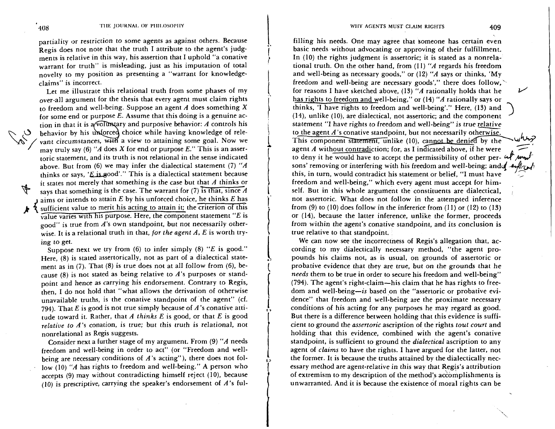partiality or restriction to some agents as against others. Because Regis does not note that the truth I attribute to the agent's judgments is relative in this way, his assertion that I uphold "a conative warrant for truth" is misleading, just as his imputation of total novelty to my position as presenting a "warrant for knowledgeclaims" is incorrect.

Let me illustrate this relational truth from some phases of my over-all argument for the thesis that every agent must claim rights to freedom and well-being. Suppose an agent  $A$  does something  $X$ for some end or purpose *E.* Assume that this doing is a genuine action in that it is a volumatry and purposive behavior: A controls his behavior by his unforced choice while having knowledge of rele-<br>vant circumstances, with a view to attaining some goal. Now we<br>may truly say (6) "A does X for end or purpose *E.*" This is an asser-<br>particular proposed in t toric statement, and its truth is not relational in the sense indicated above. But from (6) we may infer the dialectical statement (7) " $\vec{A}$ thinks or says, ' $E$  is good'." This is a dialectical statement because it states not merely that something is the case but that  $A$  thinks or  $\frac{1}{3}$  savs that something is the case. The warrant for (7) is that, since A  $\bf{I}$  aims or intends to attain E by his unforced choice, he thinks E has sufficient value to merit his acting to attain it; the criterion of this value varies with his purpose. Here, the component statement *"E* is  $_{\text{good}}$ " is true from A's own standpoint, but not necessarily otherwise. It is a relational truth in that, for the agent  $A$ ,  $E$  is worth try-

Suppose next we try from (6) to infer simply (8) *"E* is good." Here, (8) is stated assertorically, not as part of a dialectical statement as in (7). That (8) is true does not at all follow from (6), because (8) is not stated as being relative to  $A$ 's purposes or standpoint and hence as carrying his endorsement. Contrary to Regis, then, I do not hold that "what allows the derivation of otherwise unavailable truths, is the conative standpoint of the agent" (cf. 794). That E is good is not true simply because of  $A$ 's conative attitude toward it. Rather, that A thinks E is good, or that E is good relative to  $A$ 's conation, is true; but this truth is relational, not nonrelational as Regis suggests.

Consider next a further stage of my argument. From (9) "A needs freedom and well-being in order to act" (or "Freedom and wellbeing are necessary conditions of  $A$ 's acting"), there does not follow  $(10)$  "A has rights to freedom and well-being." A person who accepts  $(9)$  may without contradicting himself reject  $(10)$ , because (10) is prescriptive, carrying the speaker's endorsement of  $A$ 's ful-

filling his needs. One may agree that someone has certain even basic needs without advocating or approving of their fulfillment. In (10) the rights judgment is assertoric; it is stated as a nonrelational truth. On the other hand, from  $(11)$  "A regards his freedom and well-being as necessary goods," or  $(12)$  "A says or thinks, 'My freedom and well-being are necessary goods'," there does follow, for reasons I have sketched above, (13) "A rationally holds that he  $V$ has rights to freedom and well-being," or (14) "A rationally says or thinks, 'I have rights to freedom and well-being'." Here, (13) and (14), unlike (lo), are dialectical, not assertoric; and the component statement "I have rights to freedom and well-being" is true relative '> to the agent  $A$ 's conative standpoint, but not necessarily otherwise. This component statement, unlike (10), cannot be denied by the agent  $A$  without contradiction; for, as I indicated above, if he were to deny it he would have to accept the permissibility of other per-  $\mathcal{A}$ sons' removing or interfering with his freedom and well-being; and  $\ell$  -  $\ell$ agent A without contradiction; for, as I indicated above, if he were<br>to deny it he would have to accept the permissibility of other per-  $44$  mm/<br>sons' removing or interfering with his freedom and well-being; and  $44$  m/m freedom and well-being," which every agent must accept for himself. But in this whole argument the constituents are dialectical, not assertoric. What does not follow in the attempted inference from  $(9)$  to  $(10)$  does follow in the inference from  $(11)$  or  $(12)$  to  $(13)$ or (14), because the latter inference, unlike the former, proceeds from within the agent's conative standpoint, and its conclusion is true relative to that standpoint.

We can now see the incorrectness of Regis's allegation that, according to my dialectically necessary method, "the agent propounds his claims not, as is usual, on grounds of assertoric or probative evidence that they are true, but on the grounds that he needs them to be true in order to secure his freedom and well-being" (794). The agent's right-claim-his claim that he has rights to freedom and well-being-is based on the "assertoric or probative evidence" that freedom and well-being are the proximate necessary conditions of his acting for any purposes he may regard as good. But there is a difference between holding that this evidence is sufficient to ground the assertoric ascription of the rights tout court and holding that this evidence, combined with the agent's conative standpoint, is sufficient to ground the *dialectical* ascription to any agent of claims to have the rights. I have argued for the latter, not the former. It is because the truths attained by the dialectically necessary method are agent-relative in this way that Regis's attribution of extremism to my description of the method's accomplishments is unwarranted. And it is because the existence of moral rights can be

ing to get.